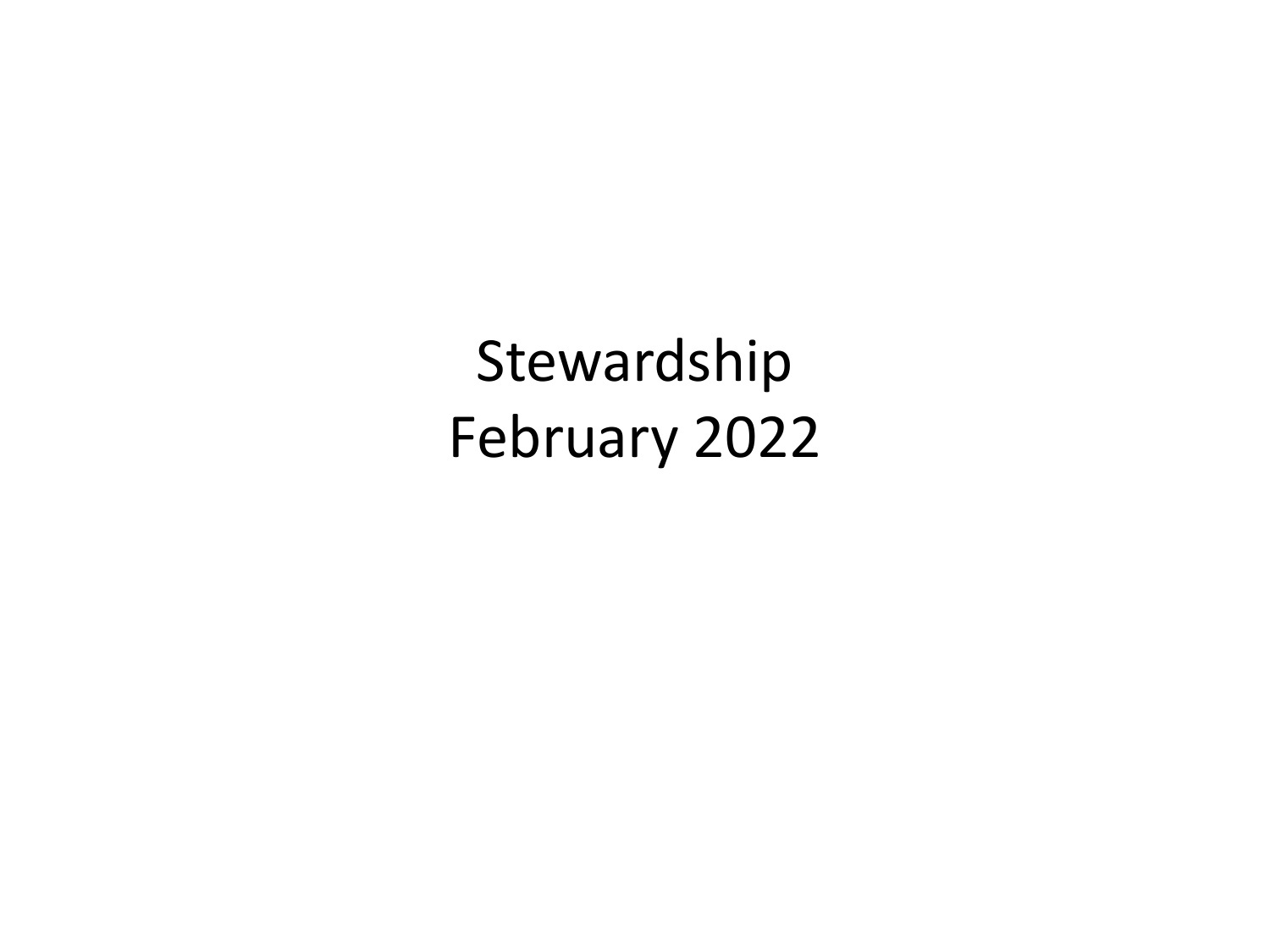Stewardship February 2022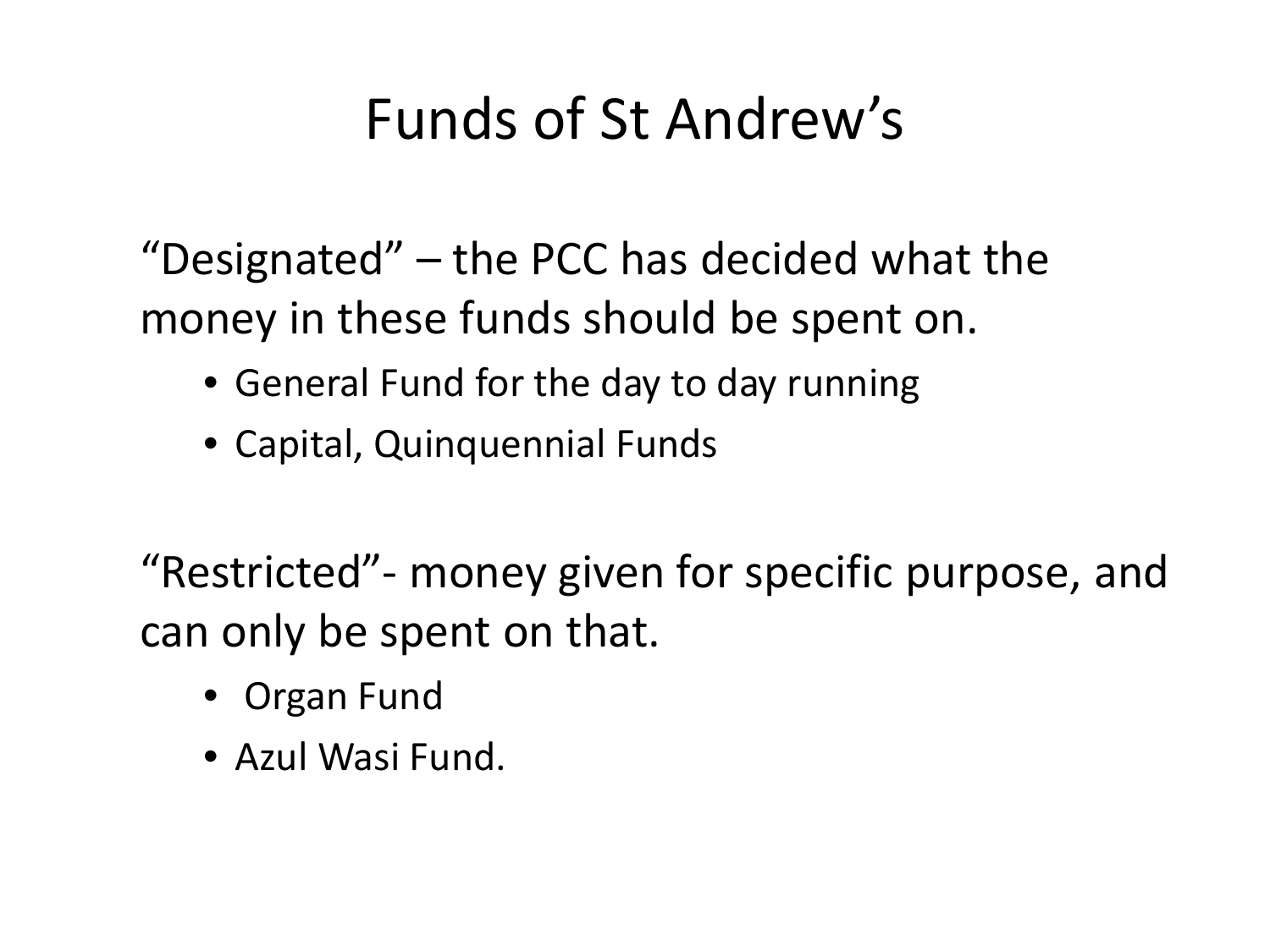## Funds of St Andrew's

"Designated" – the PCC has decided what the money in these funds should be spent on.

- General Fund for the day to day running
- Capital, Quinquennial Funds

"Restricted"- money given for specific purpose, and can only be spent on that.

- Organ Fund
- Azul Wasi Fund.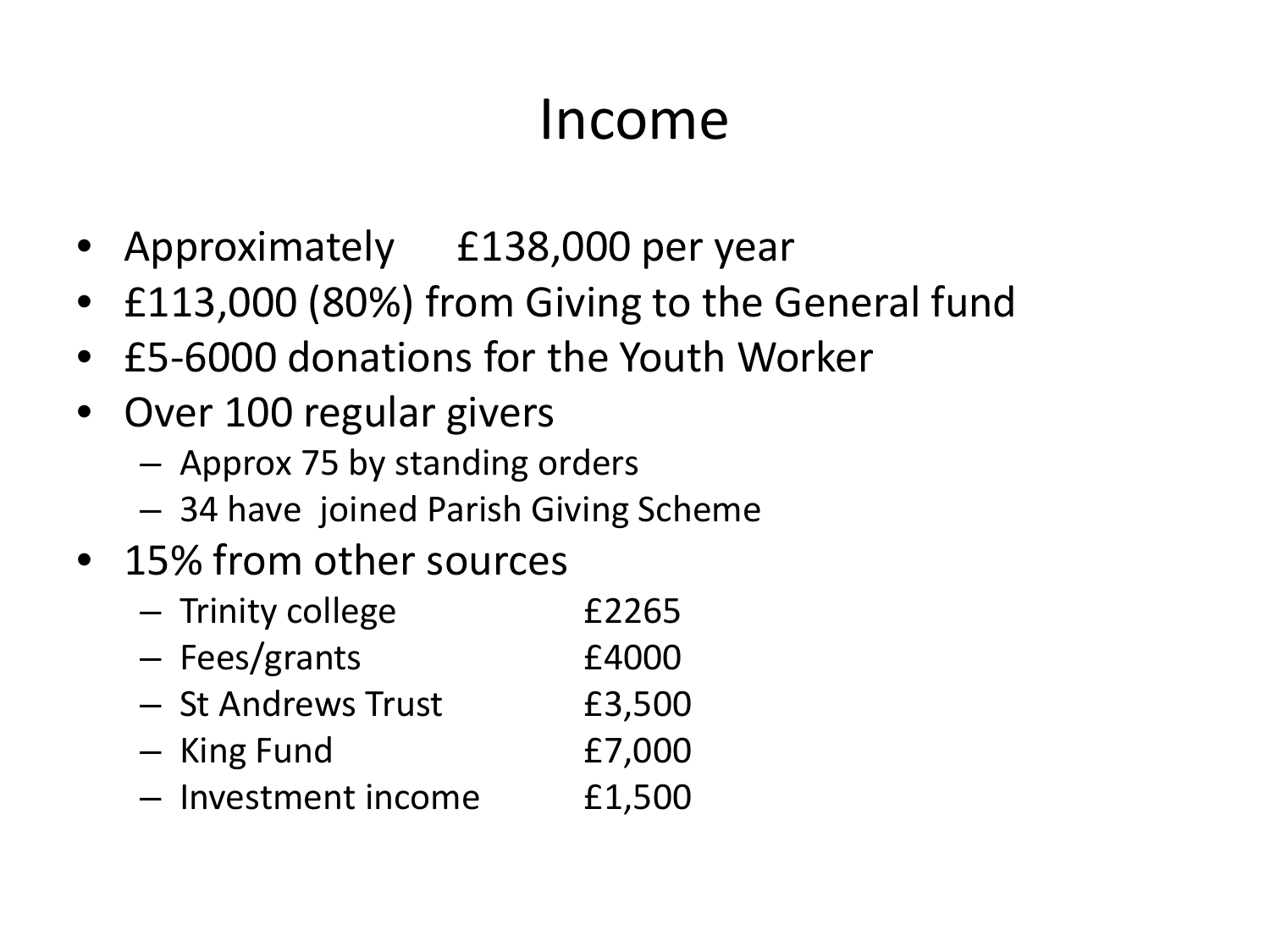#### Income

- Approximately £138,000 per year
- £113,000 (80%) from Giving to the General fund
- £5-6000 donations for the Youth Worker
- Over 100 regular givers
	- Approx 75 by standing orders
	- 34 have joined Parish Giving Scheme
- 15% from other sources
	- Trinity college £2265
	- Fees/grants £4000
	- St Andrews Trust E3,500
	- King Fund £7,000
	- Investment income £1,500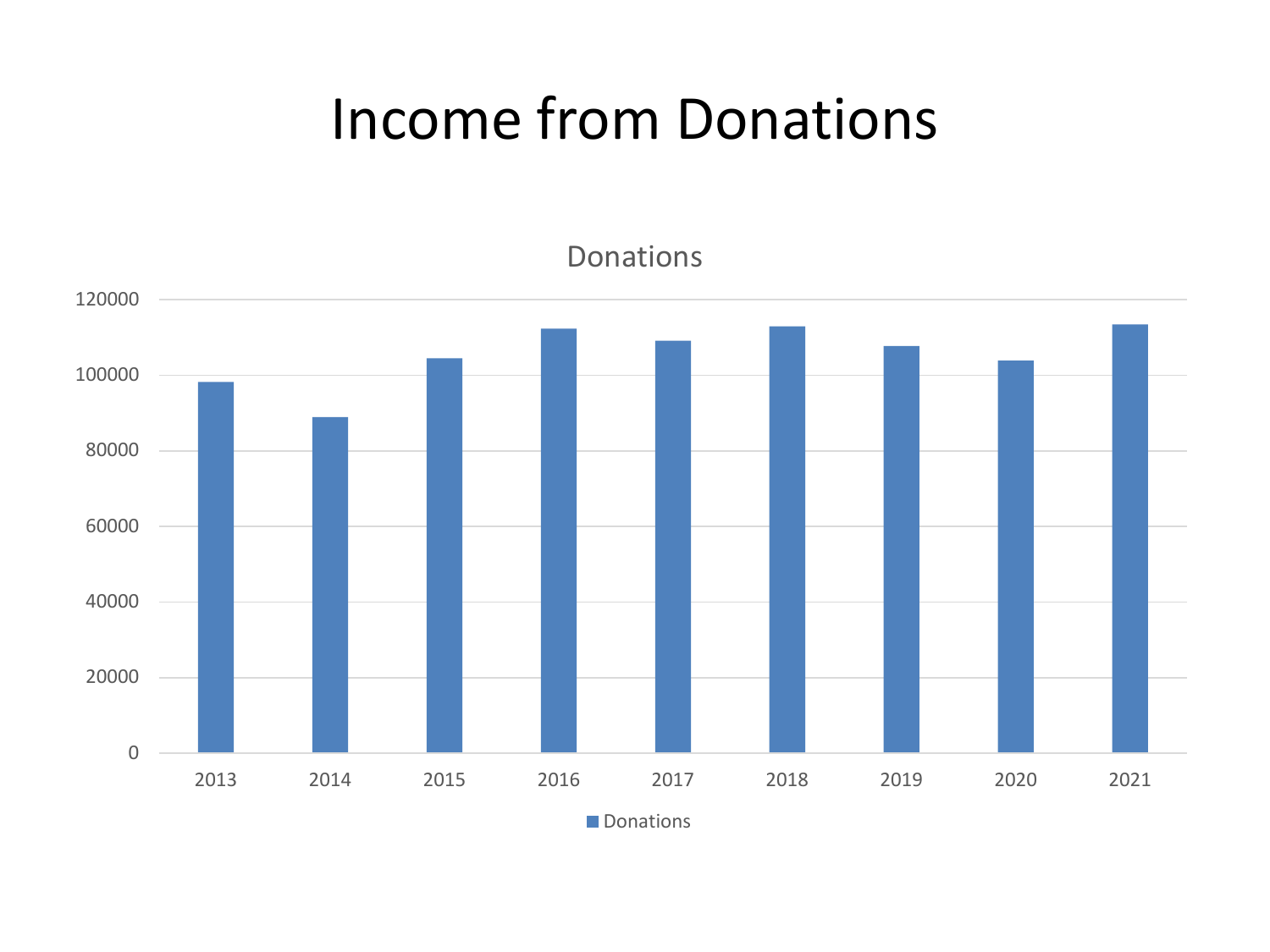### Income from Donations



**Donations**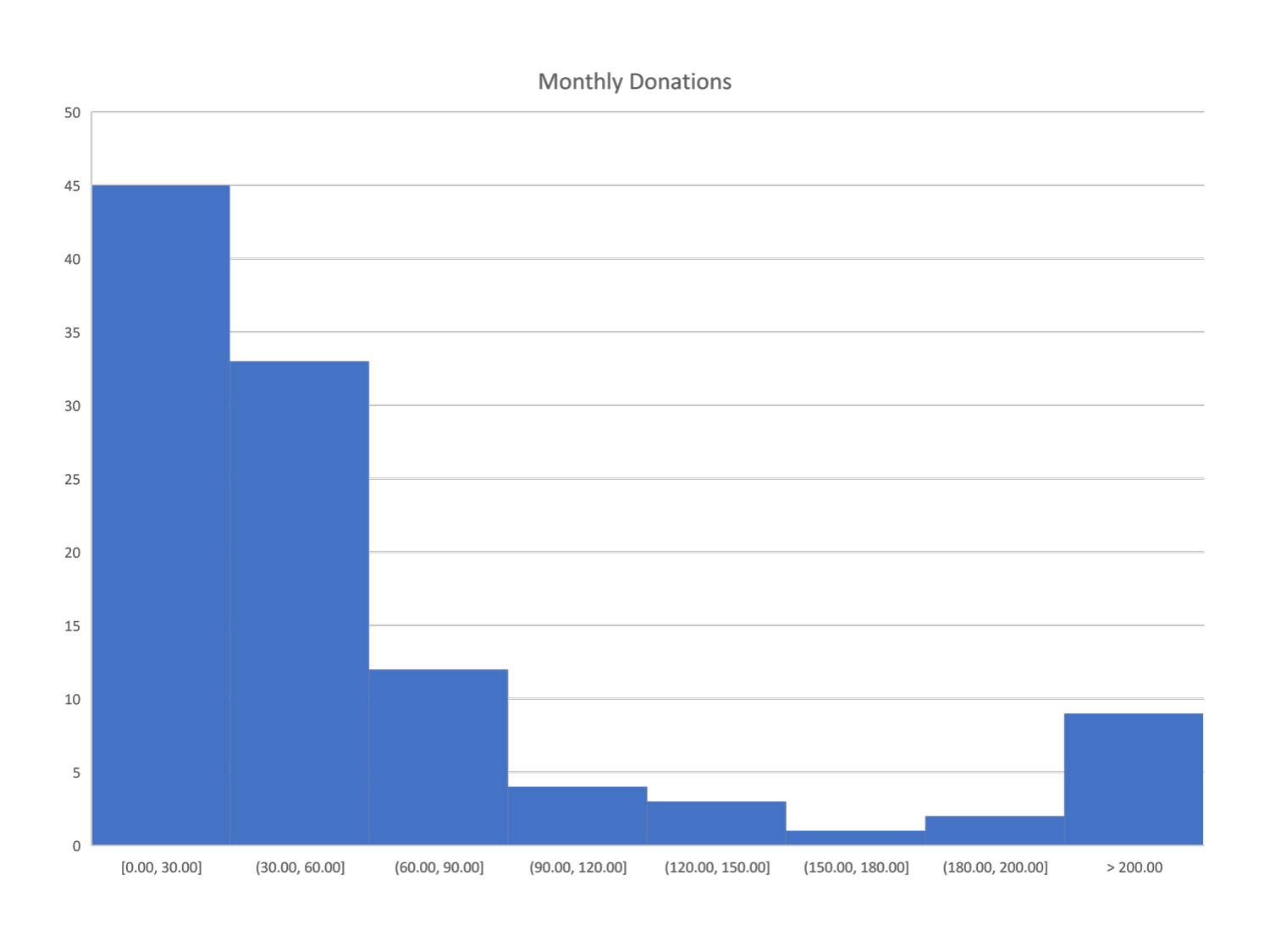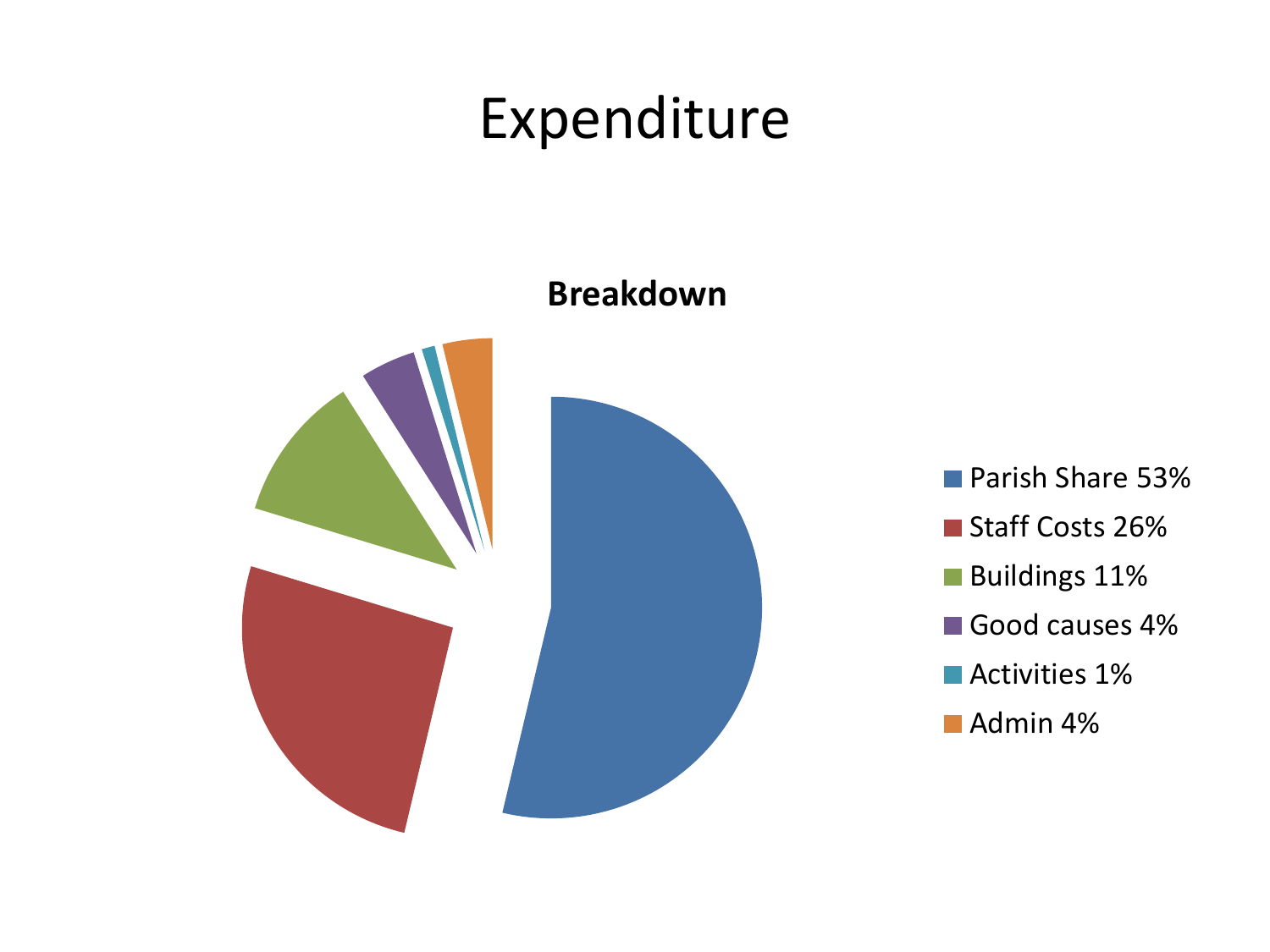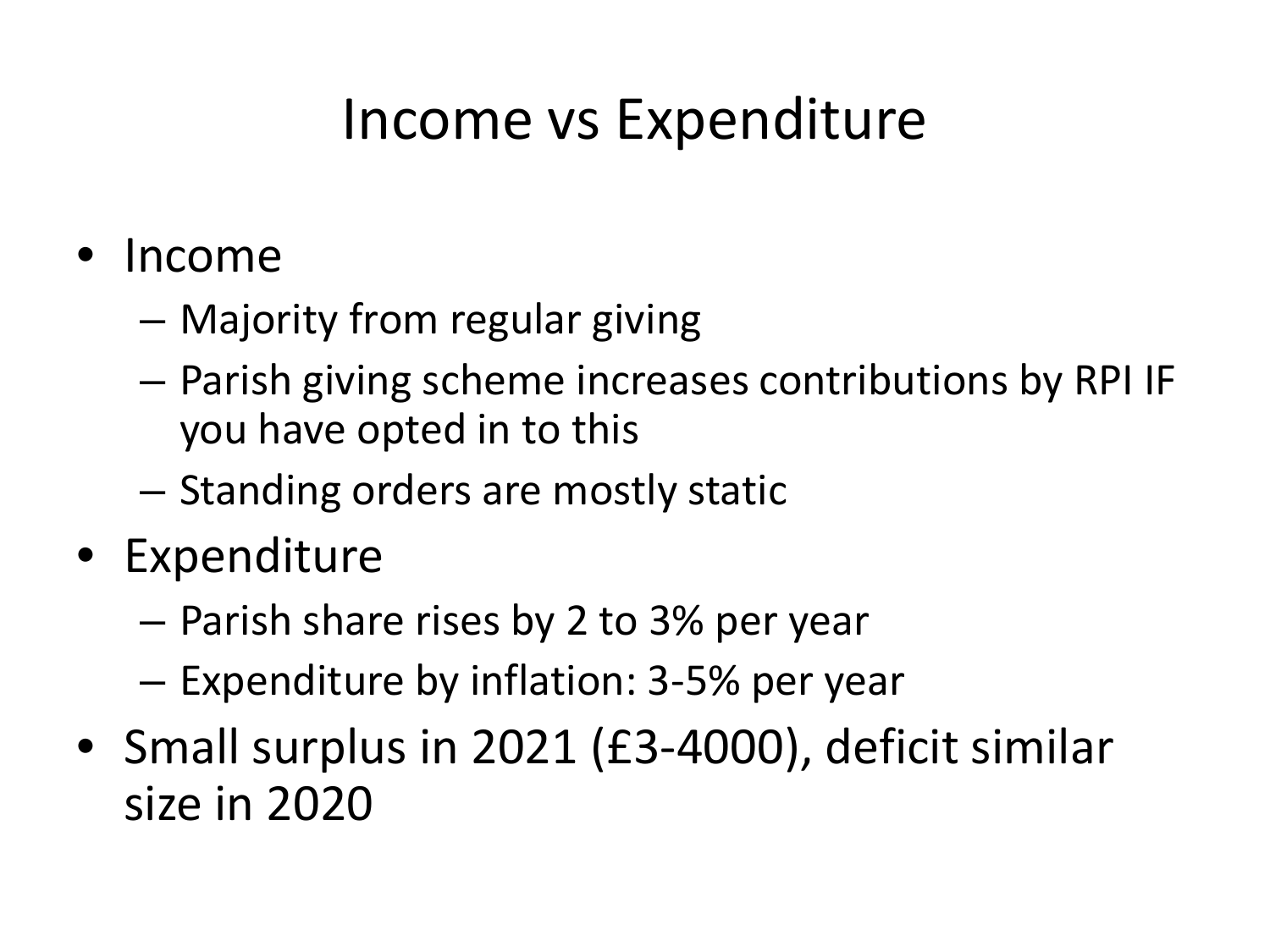### Income vs Expenditure

- Income
	- Majority from regular giving
	- Parish giving scheme increases contributions by RPI IF you have opted in to this
	- Standing orders are mostly static
- Expenditure
	- Parish share rises by 2 to 3% per year
	- Expenditure by inflation: 3-5% per year
- Small surplus in 2021 (£3-4000), deficit similar size in 2020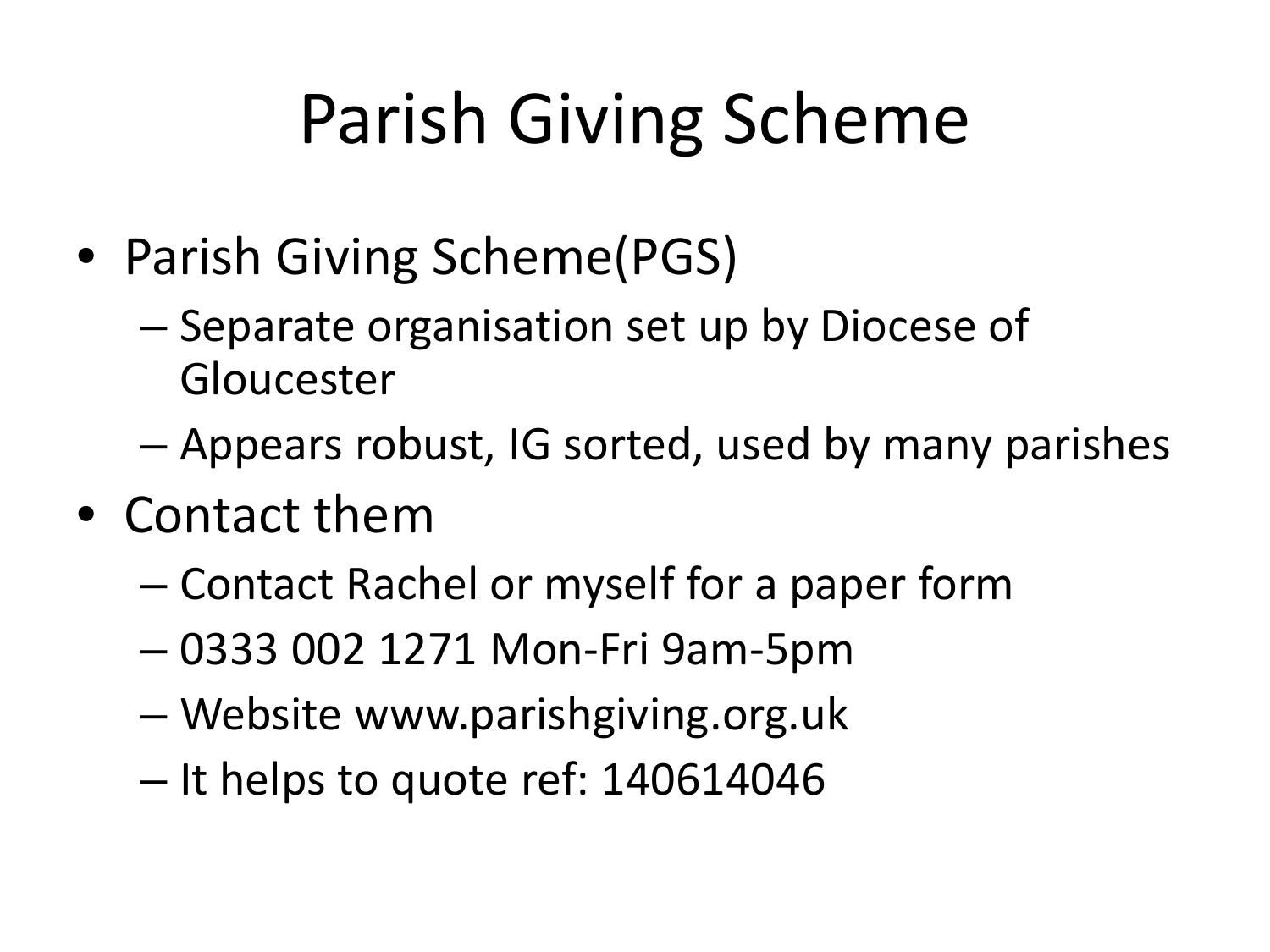# Parish Giving Scheme

- Parish Giving Scheme(PGS)
	- Separate organisation set up by Diocese of Gloucester
	- Appears robust, IG sorted, used by many parishes
- Contact them
	- Contact Rachel or myself for a paper form
	- 0333 002 1271 Mon-Fri 9am-5pm
	- Website www.parishgiving.org.uk
	- It helps to quote ref: 140614046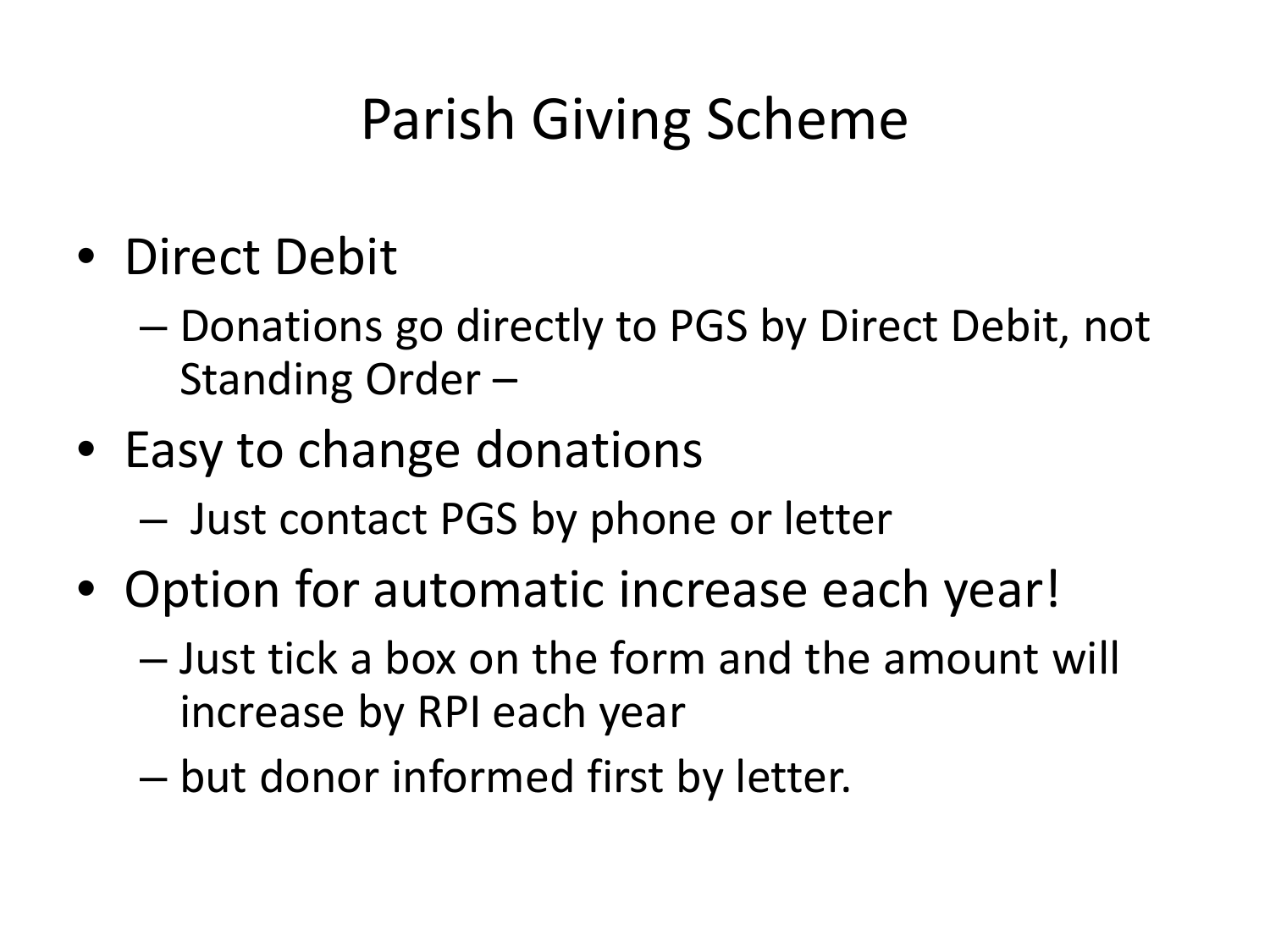## Parish Giving Scheme

- Direct Debit
	- Donations go directly to PGS by Direct Debit, not Standing Order –
- Easy to change donations
	- Just contact PGS by phone or letter
- Option for automatic increase each year!
	- Just tick a box on the form and the amount will increase by RPI each year
	- but donor informed first by letter.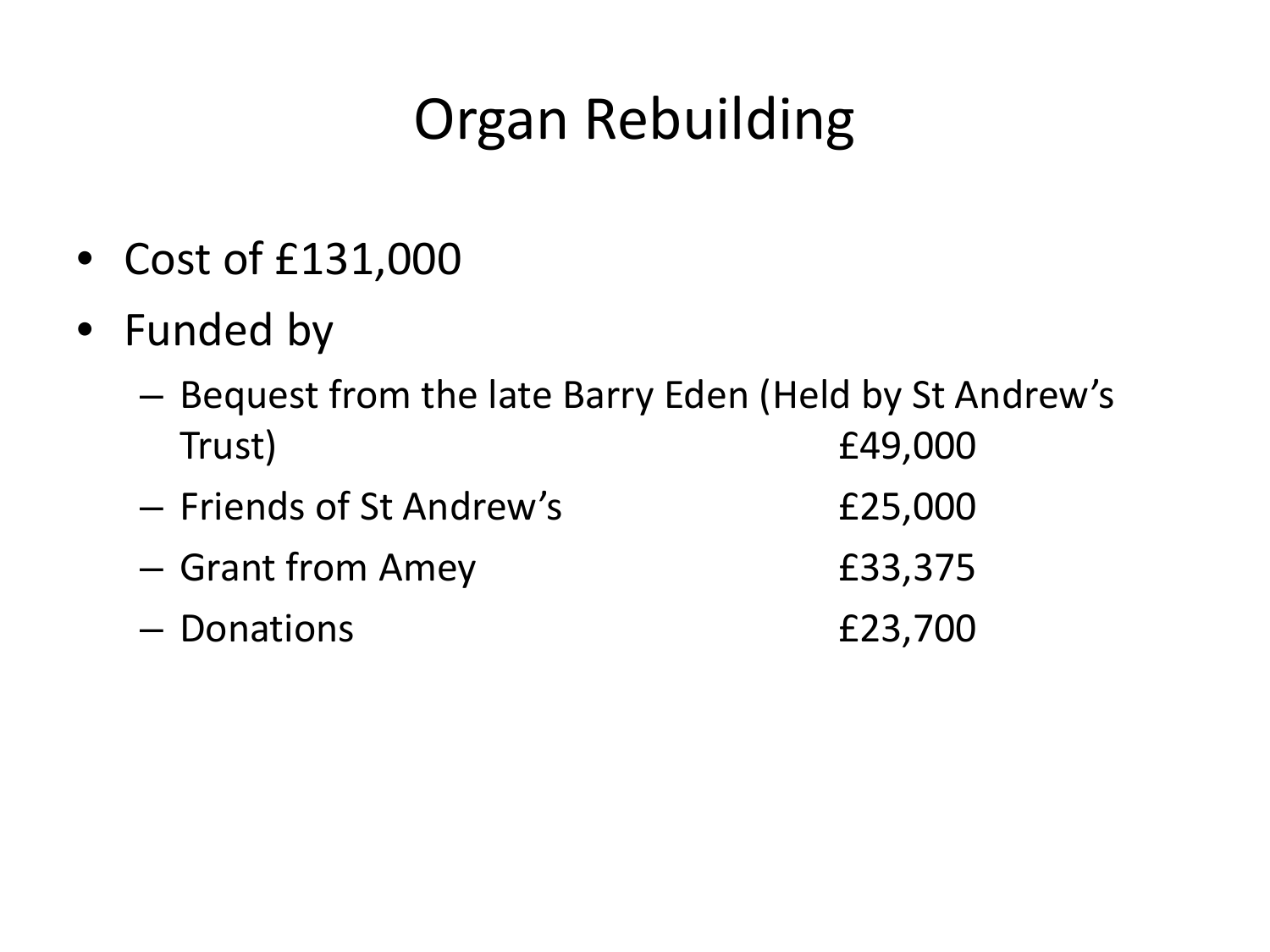## Organ Rebuilding

- Cost of £131,000
- Funded by
	- Bequest from the late Barry Eden (Held by St Andrew's Trust) £49,000
	- Friends of St Andrew's £25,000
	- Grant from Amey £33,375
	- Donations £23,700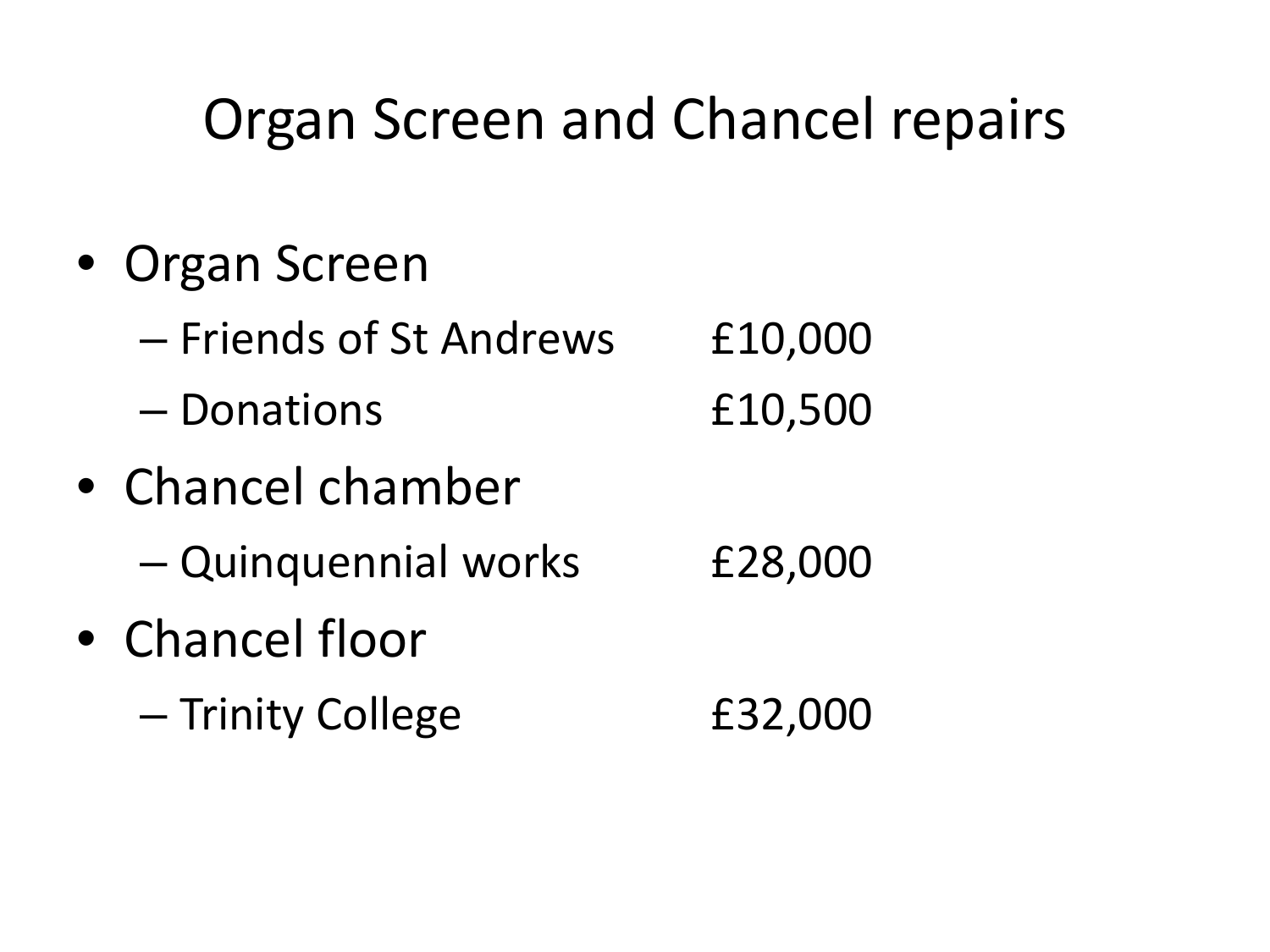### Organ Screen and Chancel repairs

- Organ Screen
	- Friends of St Andrews £10,000 – Donations £10,500
- Chancel chamber – Quinquennial works £28,000 • Chancel floor
	- Trinity College £32,000